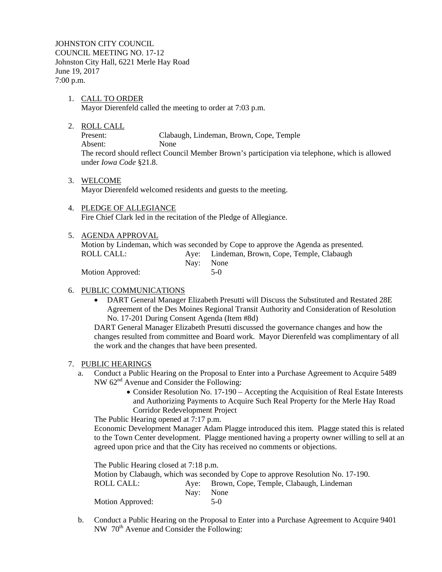JOHNSTON CITY COUNCIL COUNCIL MEETING NO. 17-12 Johnston City Hall, 6221 Merle Hay Road June 19, 2017 7:00 p.m.

- 1. CALL TO ORDER Mayor Dierenfeld called the meeting to order at 7:03 p.m.
- 2. ROLL CALL

Present: Clabaugh, Lindeman, Brown, Cope, Temple Absent: None The record should reflect Council Member Brown's participation via telephone, which is allowed under *Iowa Code* §21.8.

3. WELCOME

Mayor Dierenfeld welcomed residents and guests to the meeting.

- 4. PLEDGE OF ALLEGIANCE Fire Chief Clark led in the recitation of the Pledge of Allegiance.
- 5. AGENDA APPROVAL

Motion by Lindeman, which was seconded by Cope to approve the Agenda as presented. ROLL CALL: Aye: Lindeman, Brown, Cope, Temple, Clabaugh Nay: None

Motion Approved: 5-0

## 6. PUBLIC COMMUNICATIONS

 DART General Manager Elizabeth Presutti will Discuss the Substituted and Restated 28E Agreement of the Des Moines Regional Transit Authority and Consideration of Resolution No. 17-201 During Consent Agenda (Item #8d)

DART General Manager Elizabeth Presutti discussed the governance changes and how the changes resulted from committee and Board work. Mayor Dierenfeld was complimentary of all the work and the changes that have been presented.

# 7. PUBLIC HEARINGS

- a. Conduct a Public Hearing on the Proposal to Enter into a Purchase Agreement to Acquire 5489 NW 62<sup>nd</sup> Avenue and Consider the Following:
	- Consider Resolution No. 17-190 Accepting the Acquisition of Real Estate Interests and Authorizing Payments to Acquire Such Real Property for the Merle Hay Road Corridor Redevelopment Project

The Public Hearing opened at 7:17 p.m.

Economic Development Manager Adam Plagge introduced this item. Plagge stated this is related to the Town Center development. Plagge mentioned having a property owner willing to sell at an agreed upon price and that the City has received no comments or objections.

The Public Hearing closed at 7:18 p.m. Motion by Clabaugh, which was seconded by Cope to approve Resolution No. 17-190. ROLL CALL: Aye: Brown, Cope, Temple, Clabaugh, Lindeman Nay: None Motion Approved: 5-0

b. Conduct a Public Hearing on the Proposal to Enter into a Purchase Agreement to Acquire 9401 NW 70<sup>th</sup> Avenue and Consider the Following: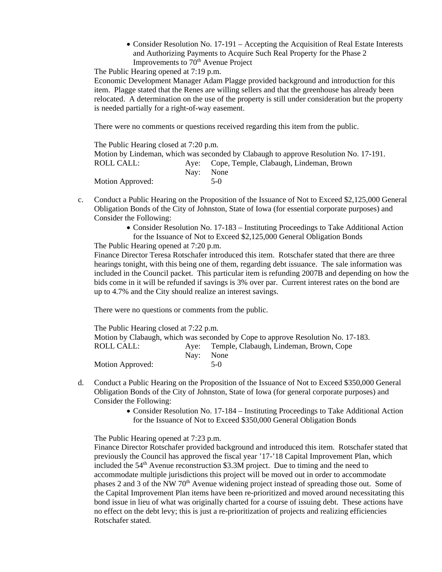• Consider Resolution No. 17-191 – Accepting the Acquisition of Real Estate Interests and Authorizing Payments to Acquire Such Real Property for the Phase 2 Improvements to  $70<sup>th</sup>$  Avenue Project

The Public Hearing opened at 7:19 p.m.

Economic Development Manager Adam Plagge provided background and introduction for this item. Plagge stated that the Renes are willing sellers and that the greenhouse has already been relocated. A determination on the use of the property is still under consideration but the property is needed partially for a right-of-way easement.

There were no comments or questions received regarding this item from the public.

The Public Hearing closed at 7:20 p.m. Motion by Lindeman, which was seconded by Clabaugh to approve Resolution No. 17-191. ROLL CALL: Aye: Cope, Temple, Clabaugh, Lindeman, Brown Nay: None Motion Approved: 5-0

- c. Conduct a Public Hearing on the Proposition of the Issuance of Not to Exceed \$2,125,000 General Obligation Bonds of the City of Johnston, State of Iowa (for essential corporate purposes) and Consider the Following:
	- Consider Resolution No. 17-183 Instituting Proceedings to Take Additional Action for the Issuance of Not to Exceed \$2,125,000 General Obligation Bonds

The Public Hearing opened at 7:20 p.m.

Finance Director Teresa Rotschafer introduced this item. Rotschafer stated that there are three hearings tonight, with this being one of them, regarding debt issuance. The sale information was included in the Council packet. This particular item is refunding 2007B and depending on how the bids come in it will be refunded if savings is 3% over par. Current interest rates on the bond are up to 4.7% and the City should realize an interest savings.

There were no questions or comments from the public.

The Public Hearing closed at 7:22 p.m. Motion by Clabaugh, which was seconded by Cope to approve Resolution No. 17-183. ROLL CALL: Aye: Temple, Clabaugh, Lindeman, Brown, Cope Nay: None Motion Approved: 5-0

- d. Conduct a Public Hearing on the Proposition of the Issuance of Not to Exceed \$350,000 General Obligation Bonds of the City of Johnston, State of Iowa (for general corporate purposes) and Consider the Following:
	- Consider Resolution No. 17-184 Instituting Proceedings to Take Additional Action for the Issuance of Not to Exceed \$350,000 General Obligation Bonds

The Public Hearing opened at 7:23 p.m.

Finance Director Rotschafer provided background and introduced this item. Rotschafer stated that previously the Council has approved the fiscal year '17-'18 Capital Improvement Plan, which included the  $54<sup>th</sup>$  Avenue reconstruction \$3.3M project. Due to timing and the need to accommodate multiple jurisdictions this project will be moved out in order to accommodate phases 2 and 3 of the NW  $70<sup>th</sup>$  Avenue widening project instead of spreading those out. Some of the Capital Improvement Plan items have been re-prioritized and moved around necessitating this bond issue in lieu of what was originally charted for a course of issuing debt. These actions have no effect on the debt levy; this is just a re-prioritization of projects and realizing efficiencies Rotschafer stated.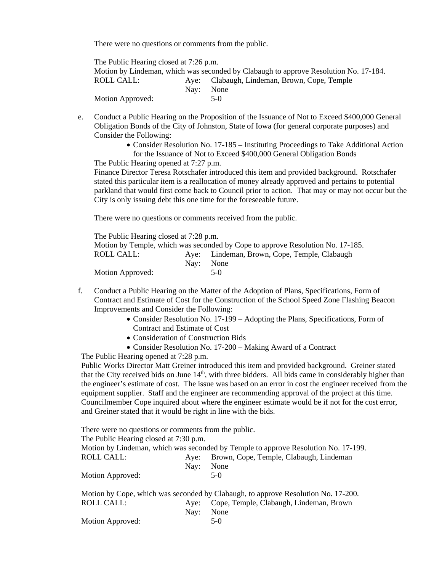There were no questions or comments from the public.

The Public Hearing closed at 7:26 p.m. Motion by Lindeman, which was seconded by Clabaugh to approve Resolution No. 17-184. ROLL CALL: Aye: Clabaugh, Lindeman, Brown, Cope, Temple Nay: None Motion Approved: 5-0

- e. Conduct a Public Hearing on the Proposition of the Issuance of Not to Exceed \$400,000 General Obligation Bonds of the City of Johnston, State of Iowa (for general corporate purposes) and Consider the Following:
	- Consider Resolution No. 17-185 Instituting Proceedings to Take Additional Action for the Issuance of Not to Exceed \$400,000 General Obligation Bonds

The Public Hearing opened at 7:27 p.m.

Finance Director Teresa Rotschafer introduced this item and provided background. Rotschafer stated this particular item is a reallocation of money already approved and pertains to potential parkland that would first come back to Council prior to action. That may or may not occur but the City is only issuing debt this one time for the foreseeable future.

There were no questions or comments received from the public.

| The Public Hearing closed at 7:28 p.m.                                         |  |                                              |  |  |
|--------------------------------------------------------------------------------|--|----------------------------------------------|--|--|
| Motion by Temple, which was seconded by Cope to approve Resolution No. 17-185. |  |                                              |  |  |
| ROLL CALL: \                                                                   |  | Aye: Lindeman, Brown, Cope, Temple, Clabaugh |  |  |
|                                                                                |  | Nav: None                                    |  |  |
| Motion Approved:                                                               |  | $5-0$                                        |  |  |

- f. Conduct a Public Hearing on the Matter of the Adoption of Plans, Specifications, Form of Contract and Estimate of Cost for the Construction of the School Speed Zone Flashing Beacon Improvements and Consider the Following:
	- Consider Resolution No. 17-199 Adopting the Plans, Specifications, Form of Contract and Estimate of Cost
	- Consideration of Construction Bids
	- Consider Resolution No. 17-200 Making Award of a Contract

The Public Hearing opened at 7:28 p.m.

Public Works Director Matt Greiner introduced this item and provided background. Greiner stated that the City received bids on June  $14<sup>th</sup>$ , with three bidders. All bids came in considerably higher than the engineer's estimate of cost. The issue was based on an error in cost the engineer received from the equipment supplier. Staff and the engineer are recommending approval of the project at this time. Councilmember Cope inquired about where the engineer estimate would be if not for the cost error, and Greiner stated that it would be right in line with the bids.

There were no questions or comments from the public. The Public Hearing closed at 7:30 p.m. Motion by Lindeman, which was seconded by Temple to approve Resolution No. 17-199. ROLL CALL: Aye: Brown, Cope, Temple, Clabaugh, Lindeman Nay: None Motion Approved: 5-0 Motion by Cope, which was seconded by Clabaugh, to approve Resolution No. 17-200.

|                  |           | Motion by Cope, which was seconded by Clabaugh, to approve Resolution No. 17-200 |
|------------------|-----------|----------------------------------------------------------------------------------|
| ROLL CALL:       |           | Aye: Cope, Temple, Clabaugh, Lindeman, Brown                                     |
|                  | Nav: None |                                                                                  |
| Motion Approved: |           | $5-0$                                                                            |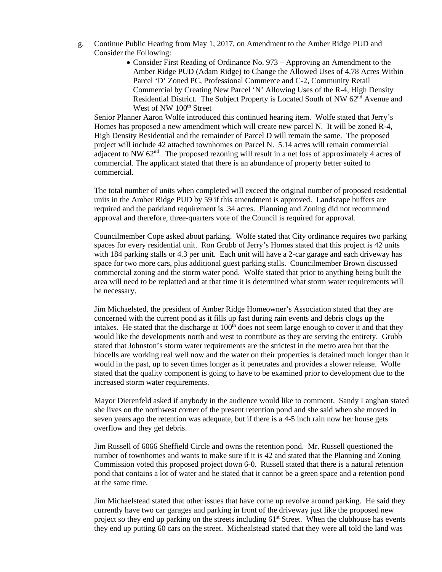- g. Continue Public Hearing from May 1, 2017, on Amendment to the Amber Ridge PUD and Consider the Following:
	- Consider First Reading of Ordinance No. 973 Approving an Amendment to the Amber Ridge PUD (Adam Ridge) to Change the Allowed Uses of 4.78 Acres Within Parcel 'D' Zoned PC, Professional Commerce and C-2, Community Retail Commercial by Creating New Parcel 'N' Allowing Uses of the R-4, High Density Residential District. The Subject Property is Located South of NW 62<sup>nd</sup> Avenue and West of NW 100<sup>th</sup> Street

Senior Planner Aaron Wolfe introduced this continued hearing item. Wolfe stated that Jerry's Homes has proposed a new amendment which will create new parcel N. It will be zoned R-4, High Density Residential and the remainder of Parcel D will remain the same. The proposed project will include 42 attached townhomes on Parcel N. 5.14 acres will remain commercial adjacent to NW  $62<sup>nd</sup>$ . The proposed rezoning will result in a net loss of approximately 4 acres of commercial. The applicant stated that there is an abundance of property better suited to commercial.

The total number of units when completed will exceed the original number of proposed residential units in the Amber Ridge PUD by 59 if this amendment is approved. Landscape buffers are required and the parkland requirement is .34 acres. Planning and Zoning did not recommend approval and therefore, three-quarters vote of the Council is required for approval.

Councilmember Cope asked about parking. Wolfe stated that City ordinance requires two parking spaces for every residential unit. Ron Grubb of Jerry's Homes stated that this project is 42 units with 184 parking stalls or 4.3 per unit. Each unit will have a 2-car garage and each driveway has space for two more cars, plus additional guest parking stalls. Councilmember Brown discussed commercial zoning and the storm water pond. Wolfe stated that prior to anything being built the area will need to be replatted and at that time it is determined what storm water requirements will be necessary.

Jim Michaelsted, the president of Amber Ridge Homeowner's Association stated that they are concerned with the current pond as it fills up fast during rain events and debris clogs up the intakes. He stated that the discharge at  $100<sup>th</sup>$  does not seem large enough to cover it and that they would like the developments north and west to contribute as they are serving the entirety. Grubb stated that Johnston's storm water requirements are the strictest in the metro area but that the biocells are working real well now and the water on their properties is detained much longer than it would in the past, up to seven times longer as it penetrates and provides a slower release. Wolfe stated that the quality component is going to have to be examined prior to development due to the increased storm water requirements.

Mayor Dierenfeld asked if anybody in the audience would like to comment. Sandy Langhan stated she lives on the northwest corner of the present retention pond and she said when she moved in seven years ago the retention was adequate, but if there is a 4-5 inch rain now her house gets overflow and they get debris.

Jim Russell of 6066 Sheffield Circle and owns the retention pond. Mr. Russell questioned the number of townhomes and wants to make sure if it is 42 and stated that the Planning and Zoning Commission voted this proposed project down 6-0. Russell stated that there is a natural retention pond that contains a lot of water and he stated that it cannot be a green space and a retention pond at the same time.

Jim Michaelstead stated that other issues that have come up revolve around parking. He said they currently have two car garages and parking in front of the driveway just like the proposed new project so they end up parking on the streets including  $61<sup>st</sup>$  Street. When the clubhouse has events they end up putting 60 cars on the street. Michealstead stated that they were all told the land was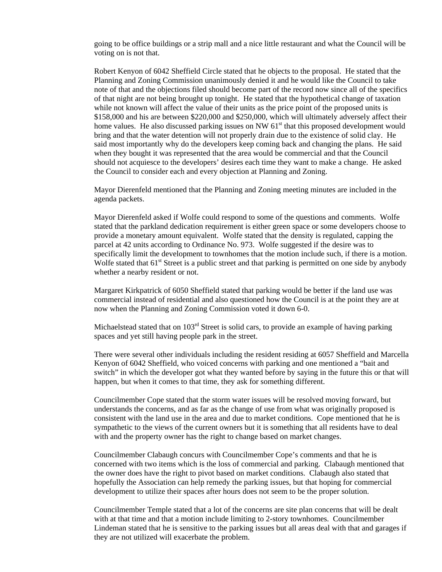going to be office buildings or a strip mall and a nice little restaurant and what the Council will be voting on is not that.

Robert Kenyon of 6042 Sheffield Circle stated that he objects to the proposal. He stated that the Planning and Zoning Commission unanimously denied it and he would like the Council to take note of that and the objections filed should become part of the record now since all of the specifics of that night are not being brought up tonight. He stated that the hypothetical change of taxation while not known will affect the value of their units as the price point of the proposed units is \$158,000 and his are between \$220,000 and \$250,000, which will ultimately adversely affect their home values. He also discussed parking issues on NW  $61<sup>st</sup>$  that this proposed development would bring and that the water detention will not properly drain due to the existence of solid clay. He said most importantly why do the developers keep coming back and changing the plans. He said when they bought it was represented that the area would be commercial and that the Council should not acquiesce to the developers' desires each time they want to make a change. He asked the Council to consider each and every objection at Planning and Zoning.

Mayor Dierenfeld mentioned that the Planning and Zoning meeting minutes are included in the agenda packets.

Mayor Dierenfeld asked if Wolfe could respond to some of the questions and comments. Wolfe stated that the parkland dedication requirement is either green space or some developers choose to provide a monetary amount equivalent. Wolfe stated that the density is regulated, capping the parcel at 42 units according to Ordinance No. 973. Wolfe suggested if the desire was to specifically limit the development to townhomes that the motion include such, if there is a motion. Wolfe stated that 61<sup>st</sup> Street is a public street and that parking is permitted on one side by anybody whether a nearby resident or not.

Margaret Kirkpatrick of 6050 Sheffield stated that parking would be better if the land use was commercial instead of residential and also questioned how the Council is at the point they are at now when the Planning and Zoning Commission voted it down 6-0.

Michaelstead stated that on 103<sup>rd</sup> Street is solid cars, to provide an example of having parking spaces and yet still having people park in the street.

There were several other individuals including the resident residing at 6057 Sheffield and Marcella Kenyon of 6042 Sheffield, who voiced concerns with parking and one mentioned a "bait and switch" in which the developer got what they wanted before by saying in the future this or that will happen, but when it comes to that time, they ask for something different.

Councilmember Cope stated that the storm water issues will be resolved moving forward, but understands the concerns, and as far as the change of use from what was originally proposed is consistent with the land use in the area and due to market conditions. Cope mentioned that he is sympathetic to the views of the current owners but it is something that all residents have to deal with and the property owner has the right to change based on market changes.

Councilmember Clabaugh concurs with Councilmember Cope's comments and that he is concerned with two items which is the loss of commercial and parking. Clabaugh mentioned that the owner does have the right to pivot based on market conditions. Clabaugh also stated that hopefully the Association can help remedy the parking issues, but that hoping for commercial development to utilize their spaces after hours does not seem to be the proper solution.

Councilmember Temple stated that a lot of the concerns are site plan concerns that will be dealt with at that time and that a motion include limiting to 2-story townhomes. Councilmember Lindeman stated that he is sensitive to the parking issues but all areas deal with that and garages if they are not utilized will exacerbate the problem.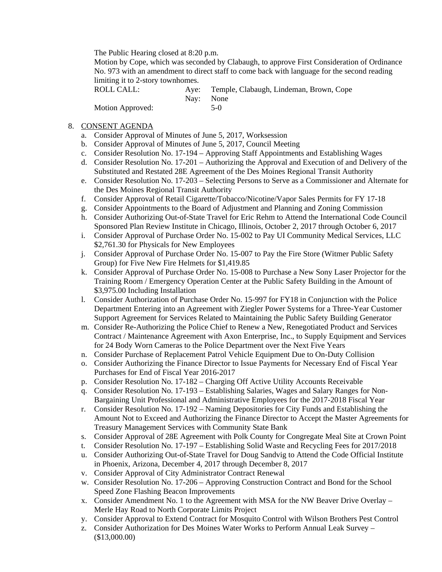The Public Hearing closed at 8:20 p.m.

Motion by Cope, which was seconded by Clabaugh, to approve First Consideration of Ordinance No. 973 with an amendment to direct staff to come back with language for the second reading limiting it to 2-story townhomes.

ROLL CALL: Aye: Temple, Clabaugh, Lindeman, Brown, Cope Nay: None Motion Approved: 5-0

### 8. CONSENT AGENDA

- a. Consider Approval of Minutes of June 5, 2017, Worksession
- b. Consider Approval of Minutes of June 5, 2017, Council Meeting
- c. Consider Resolution No. 17-194 Approving Staff Appointments and Establishing Wages
- d. Consider Resolution No. 17-201 Authorizing the Approval and Execution of and Delivery of the Substituted and Restated 28E Agreement of the Des Moines Regional Transit Authority
- e. Consider Resolution No. 17-203 Selecting Persons to Serve as a Commissioner and Alternate for the Des Moines Regional Transit Authority
- f. Consider Approval of Retail Cigarette/Tobacco/Nicotine/Vapor Sales Permits for FY 17-18
- g. Consider Appointments to the Board of Adjustment and Planning and Zoning Commission
- h. Consider Authorizing Out-of-State Travel for Eric Rehm to Attend the International Code Council Sponsored Plan Review Institute in Chicago, Illinois, October 2, 2017 through October 6, 2017
- i. Consider Approval of Purchase Order No. 15-002 to Pay UI Community Medical Services, LLC \$2,761.30 for Physicals for New Employees
- j. Consider Approval of Purchase Order No. 15-007 to Pay the Fire Store (Witmer Public Safety Group) for Five New Fire Helmets for \$1,419.85
- k. Consider Approval of Purchase Order No. 15-008 to Purchase a New Sony Laser Projector for the Training Room / Emergency Operation Center at the Public Safety Building in the Amount of \$3,975.00 Including Installation
- l. Consider Authorization of Purchase Order No. 15-997 for FY18 in Conjunction with the Police Department Entering into an Agreement with Ziegler Power Systems for a Three-Year Customer Support Agreement for Services Related to Maintaining the Public Safety Building Generator
- m. Consider Re-Authorizing the Police Chief to Renew a New, Renegotiated Product and Services Contract / Maintenance Agreement with Axon Enterprise, Inc., to Supply Equipment and Services for 24 Body Worn Cameras to the Police Department over the Next Five Years
- n. Consider Purchase of Replacement Patrol Vehicle Equipment Due to On-Duty Collision
- o. Consider Authorizing the Finance Director to Issue Payments for Necessary End of Fiscal Year Purchases for End of Fiscal Year 2016-2017
- p. Consider Resolution No. 17-182 Charging Off Active Utility Accounts Receivable
- q. Consider Resolution No. 17-193 Establishing Salaries, Wages and Salary Ranges for Non-Bargaining Unit Professional and Administrative Employees for the 2017-2018 Fiscal Year
- r. Consider Resolution No. 17-192 Naming Depositories for City Funds and Establishing the Amount Not to Exceed and Authorizing the Finance Director to Accept the Master Agreements for Treasury Management Services with Community State Bank
- s. Consider Approval of 28E Agreement with Polk County for Congregate Meal Site at Crown Point
- t. Consider Resolution No. 17-197 Establishing Solid Waste and Recycling Fees for 2017/2018
- u. Consider Authorizing Out-of-State Travel for Doug Sandvig to Attend the Code Official Institute in Phoenix, Arizona, December 4, 2017 through December 8, 2017
- v. Consider Approval of City Administrator Contract Renewal
- w. Consider Resolution No. 17-206 Approving Construction Contract and Bond for the School Speed Zone Flashing Beacon Improvements
- x. Consider Amendment No. 1 to the Agreement with MSA for the NW Beaver Drive Overlay Merle Hay Road to North Corporate Limits Project
- y. Consider Approval to Extend Contract for Mosquito Control with Wilson Brothers Pest Control
- z. Consider Authorization for Des Moines Water Works to Perform Annual Leak Survey (\$13,000.00)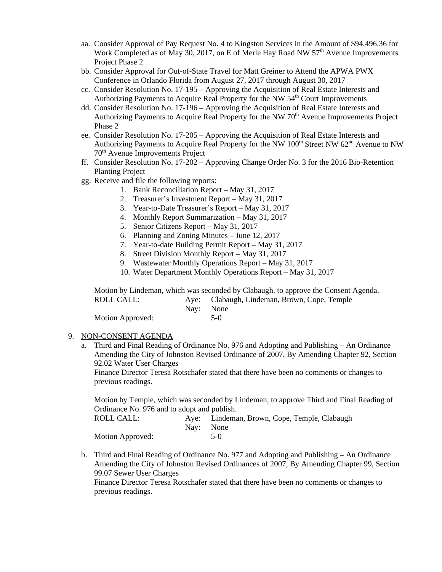- aa. Consider Approval of Pay Request No. 4 to Kingston Services in the Amount of \$94,496.36 for Work Completed as of May 30, 2017, on E of Merle Hay Road NW  $57<sup>th</sup>$  Avenue Improvements Project Phase 2
- bb. Consider Approval for Out-of-State Travel for Matt Greiner to Attend the APWA PWX Conference in Orlando Florida from August 27, 2017 through August 30, 2017
- cc. Consider Resolution No. 17-195 Approving the Acquisition of Real Estate Interests and Authorizing Payments to Acquire Real Property for the NW 54<sup>th</sup> Court Improvements
- dd. Consider Resolution No. 17-196 Approving the Acquisition of Real Estate Interests and Authorizing Payments to Acquire Real Property for the NW  $70<sup>th</sup>$  Avenue Improvements Project Phase 2
- ee. Consider Resolution No. 17-205 Approving the Acquisition of Real Estate Interests and Authorizing Payments to Acquire Real Property for the NW  $100<sup>th</sup>$  Street NW  $62<sup>nd</sup>$  Avenue to NW 70th Avenue Improvements Project
- ff. Consider Resolution No. 17-202 Approving Change Order No. 3 for the 2016 Bio-Retention Planting Project
- gg. Receive and file the following reports:
	- 1. Bank Reconciliation Report May 31, 2017
	- 2. Treasurer's Investment Report May 31, 2017
	- 3. Year-to-Date Treasurer's Report May 31, 2017
	- 4. Monthly Report Summarization May 31, 2017
	- 5. Senior Citizens Report May 31, 2017
	- 6. Planning and Zoning Minutes June 12, 2017
	- 7. Year-to-date Building Permit Report May 31, 2017
	- 8. Street Division Monthly Report May 31, 2017
	- 9. Wastewater Monthly Operations Report May 31, 2017
	- 10. Water Department Monthly Operations Report May 31, 2017

Motion by Lindeman, which was seconded by Clabaugh, to approve the Consent Agenda.<br>ROLL CALL: Ave: Clabaugh Lindeman, Brown, Cone, Temple Aye: Clabaugh, Lindeman, Brown, Cope, Temple

| KULL UNLL,       |           | Aye. Clabaugh, Emuelman, Drown, Cope, Temple |
|------------------|-----------|----------------------------------------------|
|                  | Nav: None |                                              |
| Motion Approved: |           | 5-0                                          |

#### 9. NON-CONSENT AGENDA

a. Third and Final Reading of Ordinance No. 976 and Adopting and Publishing – An Ordinance Amending the City of Johnston Revised Ordinance of 2007, By Amending Chapter 92, Section 92.02 Water User Charges

Finance Director Teresa Rotschafer stated that there have been no comments or changes to previous readings.

Motion by Temple, which was seconded by Lindeman, to approve Third and Final Reading of Ordinance No. 976 and to adopt and publish.

| ROLL CALL:       | Aye: Lindeman, Brown, Cope, Temple, Clabaugh |
|------------------|----------------------------------------------|
|                  | Nay: None                                    |
| Motion Approved: | $5-0$                                        |

b. Third and Final Reading of Ordinance No. 977 and Adopting and Publishing – An Ordinance Amending the City of Johnston Revised Ordinances of 2007, By Amending Chapter 99, Section 99.07 Sewer User Charges

Finance Director Teresa Rotschafer stated that there have been no comments or changes to previous readings.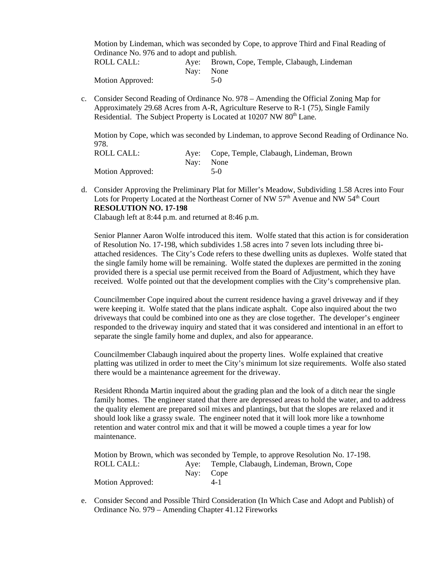Motion by Lindeman, which was seconded by Cope, to approve Third and Final Reading of Ordinance No. 976 and to adopt and publish.

| ROLL CALL:       |           | Aye: Brown, Cope, Temple, Clabaugh, Lindeman |
|------------------|-----------|----------------------------------------------|
|                  | Nav: None |                                              |
| Motion Approved: |           | $5-0$                                        |

c. Consider Second Reading of Ordinance No. 978 – Amending the Official Zoning Map for Approximately 29.68 Acres from A-R, Agriculture Reserve to R-1 (75), Single Family Residential. The Subject Property is Located at 10207 NW 80<sup>th</sup> Lane.

Motion by Cope, which was seconded by Lindeman, to approve Second Reading of Ordinance No. 978.

| ROLL CALL:       | Aye: Cope, Temple, Clabaugh, Lindeman, Brown |
|------------------|----------------------------------------------|
|                  | Nav: None                                    |
| Motion Approved: | $5-0$                                        |

d. Consider Approving the Preliminary Plat for Miller's Meadow, Subdividing 1.58 Acres into Four Lots for Property Located at the Northeast Corner of NW 57<sup>th</sup> Avenue and NW 54<sup>th</sup> Court **RESOLUTION NO. 17-198**

Clabaugh left at 8:44 p.m. and returned at 8:46 p.m.

Senior Planner Aaron Wolfe introduced this item. Wolfe stated that this action is for consideration of Resolution No. 17-198, which subdivides 1.58 acres into 7 seven lots including three biattached residences. The City's Code refers to these dwelling units as duplexes. Wolfe stated that the single family home will be remaining. Wolfe stated the duplexes are permitted in the zoning provided there is a special use permit received from the Board of Adjustment, which they have received. Wolfe pointed out that the development complies with the City's comprehensive plan.

Councilmember Cope inquired about the current residence having a gravel driveway and if they were keeping it. Wolfe stated that the plans indicate asphalt. Cope also inquired about the two driveways that could be combined into one as they are close together. The developer's engineer responded to the driveway inquiry and stated that it was considered and intentional in an effort to separate the single family home and duplex, and also for appearance.

Councilmember Clabaugh inquired about the property lines. Wolfe explained that creative platting was utilized in order to meet the City's minimum lot size requirements. Wolfe also stated there would be a maintenance agreement for the driveway.

Resident Rhonda Martin inquired about the grading plan and the look of a ditch near the single family homes. The engineer stated that there are depressed areas to hold the water, and to address the quality element are prepared soil mixes and plantings, but that the slopes are relaxed and it should look like a grassy swale. The engineer noted that it will look more like a townhome retention and water control mix and that it will be mowed a couple times a year for low maintenance.

Motion by Brown, which was seconded by Temple, to approve Resolution No. 17-198. ROLL CALL: Aye: Temple, Clabaugh, Lindeman, Brown, Cope Nay: Cope Motion Approved: 4-1

e. Consider Second and Possible Third Consideration (In Which Case and Adopt and Publish) of Ordinance No. 979 – Amending Chapter 41.12 Fireworks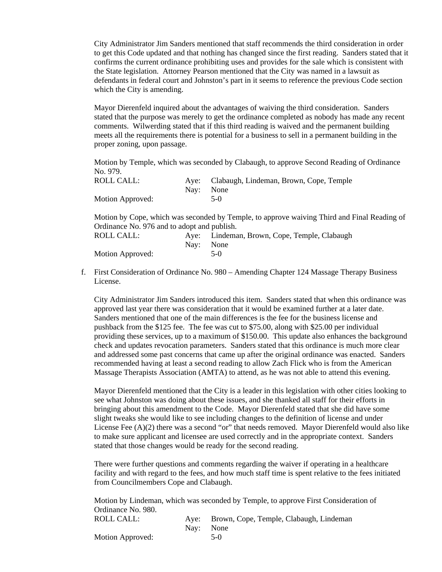City Administrator Jim Sanders mentioned that staff recommends the third consideration in order to get this Code updated and that nothing has changed since the first reading. Sanders stated that it confirms the current ordinance prohibiting uses and provides for the sale which is consistent with the State legislation. Attorney Pearson mentioned that the City was named in a lawsuit as defendants in federal court and Johnston's part in it seems to reference the previous Code section which the City is amending.

Mayor Dierenfeld inquired about the advantages of waiving the third consideration. Sanders stated that the purpose was merely to get the ordinance completed as nobody has made any recent comments. Wilwerding stated that if this third reading is waived and the permanent building meets all the requirements there is potential for a business to sell in a permanent building in the proper zoning, upon passage.

Motion by Temple, which was seconded by Clabaugh, to approve Second Reading of Ordinance No. 979.

| ROLL CALL:              | Aye: Clabaugh, Lindeman, Brown, Cope, Temple |
|-------------------------|----------------------------------------------|
|                         | Nav: None                                    |
| <b>Motion Approved:</b> | $5-0$                                        |

Motion by Cope, which was seconded by Temple, to approve waiving Third and Final Reading of Ordinance No. 976 and to adopt and publish.

| ROLL CALL:       |           | Aye: Lindeman, Brown, Cope, Temple, Clabaugh |
|------------------|-----------|----------------------------------------------|
|                  | Nav: None |                                              |
| Motion Approved: |           | $5-0$                                        |

f. First Consideration of Ordinance No. 980 – Amending Chapter 124 Massage Therapy Business License.

City Administrator Jim Sanders introduced this item. Sanders stated that when this ordinance was approved last year there was consideration that it would be examined further at a later date. Sanders mentioned that one of the main differences is the fee for the business license and pushback from the \$125 fee. The fee was cut to \$75.00, along with \$25.00 per individual providing these services, up to a maximum of \$150.00. This update also enhances the background check and updates revocation parameters. Sanders stated that this ordinance is much more clear and addressed some past concerns that came up after the original ordinance was enacted. Sanders recommended having at least a second reading to allow Zach Flick who is from the American Massage Therapists Association (AMTA) to attend, as he was not able to attend this evening.

Mayor Dierenfeld mentioned that the City is a leader in this legislation with other cities looking to see what Johnston was doing about these issues, and she thanked all staff for their efforts in bringing about this amendment to the Code. Mayor Dierenfeld stated that she did have some slight tweaks she would like to see including changes to the definition of license and under License Fee (A)(2) there was a second "or" that needs removed. Mayor Dierenfeld would also like to make sure applicant and licensee are used correctly and in the appropriate context. Sanders stated that those changes would be ready for the second reading.

There were further questions and comments regarding the waiver if operating in a healthcare facility and with regard to the fees, and how much staff time is spent relative to the fees initiated from Councilmembers Cope and Clabaugh.

Motion by Lindeman, which was seconded by Temple, to approve First Consideration of Ordinance No. 980. ROLL CALL: Aye: Brown, Cope, Temple, Clabaugh, Lindeman Nay: None Motion Approved: 5-0